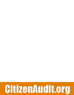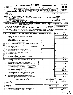| Short Form<br>Return of Organization Exempt From Income Tax<br>OMB No 1545-1150<br>Under section 501(c), 527, or 4947(a)(1) of the Internal Revenue Code (except black lung benefit trust or<br>Sponsoring organizations of donor advised funds and controlling organizations as defined in section 512(b)(13) must<br>Form 990-EZ<br>Department of the Treasury<br>other organizations with gross receipts less than \$500,000 and total assets less than \$1,250,000 at the end of the year may use this form<br>Open to Public<br>Internal Revenue Service<br>Inspection<br>The organization may have to use a copy of this return to satisfy state reporting requirements<br>For the 2009 calendar year, or tax year beginning<br>2009<br>2010<br>JUL 1<br>and ending<br>JUN 30.<br>B<br>Check if<br>C Name of organization<br>D Employer identification number<br>applicable<br>Please<br>use IRS<br>Address<br>change<br>label or<br>Name<br><b>JAZZ EDUCATION NETWORK</b><br>26-2880358<br>print or<br>Ichange<br>type<br>Initial<br>Number and street (or P.O. box, if mail is not delivered to street address)<br>E Telephone number<br>Room/suite<br>return<br>See<br>Specific 1601 OAKWOOD<br>Termin-<br>101<br>(972)<br>$233 - 9107$<br>ated<br>Instruc-<br>City or town, state or country, and $ZIP + 4$<br>Amended<br>tions<br>F Group Exemption<br>return<br>] Application<br>HIGHLAND PARK, IL<br>60035-3558<br>Number $\blacktriangleright$<br>l pendina<br>G Accounting method: $X$ Cash<br>• Section 501(c)(3) organizations and 4947(a)(1) nonexempt charitable trusts must attach a completed<br>Schedule A (Form 990 or 990-EZ).<br>Other (specify) $\blacktriangleright$<br>Website: WWW.JAZZEDNET.ORG<br>H Check $\triangleright \lfloor \underline{X} \rfloor$ if the organization is not<br>Tax-exempt status (check only one) $-\lfloor \mathbf{X} \rfloor$ 501(c) (3) $\blacktriangleleft$ (insert no.)<br>527 required to attach Schedule B (Form 990, 990-EZ, or 990-PF)<br>4947(a)(1) or<br>$K$ Check $\blacktriangleright$<br>if the organization is not a section 509(a)(3) supporting organization and its gross receipts are normally not more than \$25,000. A Form 990-EZ or<br>Form 990 return is not required, but if the organization chooses to file a return, be sure to file a complete return.<br>165,931.<br>\$<br>Add lines 5b, 6b, and 7b, to line 9 to determine gross receipts; if \$500,000 or more, file Form 990 instead of Form 990-EZ<br>Revenue, Expenses, and Changes in Net Assets or Fund Balances (See the instructions for Part I.)<br>Part I<br>7,730.<br>Contributions, gifts, grants, and similar amounts received<br>1<br>1<br>91,249.<br>2<br>Program service revenue including government fees and contracts<br>$\mathbf 2$<br>Membership dues and assessments<br>3<br>3<br>Investment income<br>4<br>4<br>5а<br>Gross amount from sale of assets other than inventory<br>5a<br>Less: cost or other basis and sales expenses<br>5b<br>b<br>Gain or (loss) from sale of assets other than inventory (Subtract line 5b from line 5a)<br>5с<br>Special events and activities (complete applicable parts of Schedule G). If any amount is from gaming, check here<br>Gross revenue (not including \$<br>of contributions<br>a<br>reported on line 1)<br>6а<br>Less: direct expenses other than fundraising expenses<br>6b<br>b<br>ĂN<br>Net income or (loss) from special events and activities (Subtract line 6b from line 6a)<br>6с<br>Gross sales of inventory, less returns and allowances<br>7a<br>7а<br>Less: cost of goods sold<br>7b<br>b<br>Gross profit or (loss) from sales of inventory (Subtract line 7b from line 7a)<br>7c<br>¢<br>Other revenue (describe > INTEREST INCOME<br>8<br>8<br>Total revenue. Add lines 1, 2, 3, 4, 5c, 6c, 7c, and 8<br>9<br>9<br>STMT 2<br>Grants and similar amounts paid (attach screedule) RECEIVED<br>10<br>10<br>11<br>Benefits paid to or for members<br>11<br><b>CRS-OSC</b><br>12<br>Salaries, other compensation, and employee penefits-<br>12<br>Professional fees and other payments to independent contractors 2010<br>13<br>13<br>Occupancy, rent, utilities, and maintenance<br>14<br>14<br>OODEN, UT<br>Printing, publications, postage, and shipping<br>15<br>15<br>85,561.<br>Other expenses (describe<br>16<br><b>STATEMENT</b><br>SEE<br>$1$ )<br>16<br>17<br><u>95,690.</u><br>Total expenses. Add lines 10 through 16<br>17<br>70,241.<br>18<br>Excess or (deficit) for the year (Subtract line 17 from line 9)<br>18<br><b>Net Assets</b><br>19<br>Net assets or fund balances at beginning of year (from line 27, column (A))<br>41,215.<br>(must agree with end-of-year figure reported on prior year's return)<br>19<br>Other changes in net assets or fund balances (attach explanation)<br>20<br>20<br>21<br>Net assets or fund balances at end of year. Combine lines 18 through 20<br>21<br>Part II<br>Balance Sheets. If Total assets on line 25, column (B) are \$1,250,000 or more, file Form 990 instead of Form 990-EZ. |  |                                     |  |                    |
|---------------------------------------------------------------------------------------------------------------------------------------------------------------------------------------------------------------------------------------------------------------------------------------------------------------------------------------------------------------------------------------------------------------------------------------------------------------------------------------------------------------------------------------------------------------------------------------------------------------------------------------------------------------------------------------------------------------------------------------------------------------------------------------------------------------------------------------------------------------------------------------------------------------------------------------------------------------------------------------------------------------------------------------------------------------------------------------------------------------------------------------------------------------------------------------------------------------------------------------------------------------------------------------------------------------------------------------------------------------------------------------------------------------------------------------------------------------------------------------------------------------------------------------------------------------------------------------------------------------------------------------------------------------------------------------------------------------------------------------------------------------------------------------------------------------------------------------------------------------------------------------------------------------------------------------------------------------------------------------------------------------------------------------------------------------------------------------------------------------------------------------------------------------------------------------------------------------------------------------------------------------------------------------------------------------------------------------------------------------------------------------------------------------------------------------------------------------------------------------------------------------------------------------------------------------------------------------------------------------------------------------------------------------------------------------------------------------------------------------------------------------------------------------------------------------------------------------------------------------------------------------------------------------------------------------------------------------------------------------------------------------------------------------------------------------------------------------------------------------------------------------------------------------------------------------------------------------------------------------------------------------------------------------------------------------------------------------------------------------------------------------------------------------------------------------------------------------------------------------------------------------------------------------------------------------------------------------------------------------------------------------------------------------------------------------------------------------------------------------------------------------------------------------------------------------------------------------------------------------------------------------------------------------------------------------------------------------------------------------------------------------------------------------------------------------------------------------------------------------------------------------------------------------------------------------------------------------------------------------------------------------------------------------------------------------------------------------------------------------------------------------------------------------------------------------------------------------------------------------------------------------------------------------------------------------------------------------------------------------------------------------------------------------------------------------------------------------------------------------------------------------------------------------------------------------------------------------------------------------------------------------------------------------------------------------------------------------------------------------------------------------------------------------------------------------------|--|-------------------------------------|--|--------------------|
|                                                                                                                                                                                                                                                                                                                                                                                                                                                                                                                                                                                                                                                                                                                                                                                                                                                                                                                                                                                                                                                                                                                                                                                                                                                                                                                                                                                                                                                                                                                                                                                                                                                                                                                                                                                                                                                                                                                                                                                                                                                                                                                                                                                                                                                                                                                                                                                                                                                                                                                                                                                                                                                                                                                                                                                                                                                                                                                                                                                                                                                                                                                                                                                                                                                                                                                                                                                                                                                                                                                                                                                                                                                                                                                                                                                                                                                                                                                                                                                                                                                                                                                                                                                                                                                                                                                                                                                                                                                                                                                                                                                                                                                                                                                                                                                                                                                                                                                                                                                                                                                                     |  |                                     |  |                    |
| <b>Degengem</b><br>SCANNED<br>Expenses                                                                                                                                                                                                                                                                                                                                                                                                                                                                                                                                                                                                                                                                                                                                                                                                                                                                                                                                                                                                                                                                                                                                                                                                                                                                                                                                                                                                                                                                                                                                                                                                                                                                                                                                                                                                                                                                                                                                                                                                                                                                                                                                                                                                                                                                                                                                                                                                                                                                                                                                                                                                                                                                                                                                                                                                                                                                                                                                                                                                                                                                                                                                                                                                                                                                                                                                                                                                                                                                                                                                                                                                                                                                                                                                                                                                                                                                                                                                                                                                                                                                                                                                                                                                                                                                                                                                                                                                                                                                                                                                                                                                                                                                                                                                                                                                                                                                                                                                                                                                                              |  |                                     |  |                    |
|                                                                                                                                                                                                                                                                                                                                                                                                                                                                                                                                                                                                                                                                                                                                                                                                                                                                                                                                                                                                                                                                                                                                                                                                                                                                                                                                                                                                                                                                                                                                                                                                                                                                                                                                                                                                                                                                                                                                                                                                                                                                                                                                                                                                                                                                                                                                                                                                                                                                                                                                                                                                                                                                                                                                                                                                                                                                                                                                                                                                                                                                                                                                                                                                                                                                                                                                                                                                                                                                                                                                                                                                                                                                                                                                                                                                                                                                                                                                                                                                                                                                                                                                                                                                                                                                                                                                                                                                                                                                                                                                                                                                                                                                                                                                                                                                                                                                                                                                                                                                                                                                     |  |                                     |  |                    |
|                                                                                                                                                                                                                                                                                                                                                                                                                                                                                                                                                                                                                                                                                                                                                                                                                                                                                                                                                                                                                                                                                                                                                                                                                                                                                                                                                                                                                                                                                                                                                                                                                                                                                                                                                                                                                                                                                                                                                                                                                                                                                                                                                                                                                                                                                                                                                                                                                                                                                                                                                                                                                                                                                                                                                                                                                                                                                                                                                                                                                                                                                                                                                                                                                                                                                                                                                                                                                                                                                                                                                                                                                                                                                                                                                                                                                                                                                                                                                                                                                                                                                                                                                                                                                                                                                                                                                                                                                                                                                                                                                                                                                                                                                                                                                                                                                                                                                                                                                                                                                                                                     |  |                                     |  |                    |
|                                                                                                                                                                                                                                                                                                                                                                                                                                                                                                                                                                                                                                                                                                                                                                                                                                                                                                                                                                                                                                                                                                                                                                                                                                                                                                                                                                                                                                                                                                                                                                                                                                                                                                                                                                                                                                                                                                                                                                                                                                                                                                                                                                                                                                                                                                                                                                                                                                                                                                                                                                                                                                                                                                                                                                                                                                                                                                                                                                                                                                                                                                                                                                                                                                                                                                                                                                                                                                                                                                                                                                                                                                                                                                                                                                                                                                                                                                                                                                                                                                                                                                                                                                                                                                                                                                                                                                                                                                                                                                                                                                                                                                                                                                                                                                                                                                                                                                                                                                                                                                                                     |  |                                     |  |                    |
|                                                                                                                                                                                                                                                                                                                                                                                                                                                                                                                                                                                                                                                                                                                                                                                                                                                                                                                                                                                                                                                                                                                                                                                                                                                                                                                                                                                                                                                                                                                                                                                                                                                                                                                                                                                                                                                                                                                                                                                                                                                                                                                                                                                                                                                                                                                                                                                                                                                                                                                                                                                                                                                                                                                                                                                                                                                                                                                                                                                                                                                                                                                                                                                                                                                                                                                                                                                                                                                                                                                                                                                                                                                                                                                                                                                                                                                                                                                                                                                                                                                                                                                                                                                                                                                                                                                                                                                                                                                                                                                                                                                                                                                                                                                                                                                                                                                                                                                                                                                                                                                                     |  |                                     |  |                    |
|                                                                                                                                                                                                                                                                                                                                                                                                                                                                                                                                                                                                                                                                                                                                                                                                                                                                                                                                                                                                                                                                                                                                                                                                                                                                                                                                                                                                                                                                                                                                                                                                                                                                                                                                                                                                                                                                                                                                                                                                                                                                                                                                                                                                                                                                                                                                                                                                                                                                                                                                                                                                                                                                                                                                                                                                                                                                                                                                                                                                                                                                                                                                                                                                                                                                                                                                                                                                                                                                                                                                                                                                                                                                                                                                                                                                                                                                                                                                                                                                                                                                                                                                                                                                                                                                                                                                                                                                                                                                                                                                                                                                                                                                                                                                                                                                                                                                                                                                                                                                                                                                     |  |                                     |  |                    |
|                                                                                                                                                                                                                                                                                                                                                                                                                                                                                                                                                                                                                                                                                                                                                                                                                                                                                                                                                                                                                                                                                                                                                                                                                                                                                                                                                                                                                                                                                                                                                                                                                                                                                                                                                                                                                                                                                                                                                                                                                                                                                                                                                                                                                                                                                                                                                                                                                                                                                                                                                                                                                                                                                                                                                                                                                                                                                                                                                                                                                                                                                                                                                                                                                                                                                                                                                                                                                                                                                                                                                                                                                                                                                                                                                                                                                                                                                                                                                                                                                                                                                                                                                                                                                                                                                                                                                                                                                                                                                                                                                                                                                                                                                                                                                                                                                                                                                                                                                                                                                                                                     |  |                                     |  |                    |
|                                                                                                                                                                                                                                                                                                                                                                                                                                                                                                                                                                                                                                                                                                                                                                                                                                                                                                                                                                                                                                                                                                                                                                                                                                                                                                                                                                                                                                                                                                                                                                                                                                                                                                                                                                                                                                                                                                                                                                                                                                                                                                                                                                                                                                                                                                                                                                                                                                                                                                                                                                                                                                                                                                                                                                                                                                                                                                                                                                                                                                                                                                                                                                                                                                                                                                                                                                                                                                                                                                                                                                                                                                                                                                                                                                                                                                                                                                                                                                                                                                                                                                                                                                                                                                                                                                                                                                                                                                                                                                                                                                                                                                                                                                                                                                                                                                                                                                                                                                                                                                                                     |  |                                     |  |                    |
|                                                                                                                                                                                                                                                                                                                                                                                                                                                                                                                                                                                                                                                                                                                                                                                                                                                                                                                                                                                                                                                                                                                                                                                                                                                                                                                                                                                                                                                                                                                                                                                                                                                                                                                                                                                                                                                                                                                                                                                                                                                                                                                                                                                                                                                                                                                                                                                                                                                                                                                                                                                                                                                                                                                                                                                                                                                                                                                                                                                                                                                                                                                                                                                                                                                                                                                                                                                                                                                                                                                                                                                                                                                                                                                                                                                                                                                                                                                                                                                                                                                                                                                                                                                                                                                                                                                                                                                                                                                                                                                                                                                                                                                                                                                                                                                                                                                                                                                                                                                                                                                                     |  |                                     |  |                    |
|                                                                                                                                                                                                                                                                                                                                                                                                                                                                                                                                                                                                                                                                                                                                                                                                                                                                                                                                                                                                                                                                                                                                                                                                                                                                                                                                                                                                                                                                                                                                                                                                                                                                                                                                                                                                                                                                                                                                                                                                                                                                                                                                                                                                                                                                                                                                                                                                                                                                                                                                                                                                                                                                                                                                                                                                                                                                                                                                                                                                                                                                                                                                                                                                                                                                                                                                                                                                                                                                                                                                                                                                                                                                                                                                                                                                                                                                                                                                                                                                                                                                                                                                                                                                                                                                                                                                                                                                                                                                                                                                                                                                                                                                                                                                                                                                                                                                                                                                                                                                                                                                     |  |                                     |  |                    |
|                                                                                                                                                                                                                                                                                                                                                                                                                                                                                                                                                                                                                                                                                                                                                                                                                                                                                                                                                                                                                                                                                                                                                                                                                                                                                                                                                                                                                                                                                                                                                                                                                                                                                                                                                                                                                                                                                                                                                                                                                                                                                                                                                                                                                                                                                                                                                                                                                                                                                                                                                                                                                                                                                                                                                                                                                                                                                                                                                                                                                                                                                                                                                                                                                                                                                                                                                                                                                                                                                                                                                                                                                                                                                                                                                                                                                                                                                                                                                                                                                                                                                                                                                                                                                                                                                                                                                                                                                                                                                                                                                                                                                                                                                                                                                                                                                                                                                                                                                                                                                                                                     |  |                                     |  | Accrual            |
|                                                                                                                                                                                                                                                                                                                                                                                                                                                                                                                                                                                                                                                                                                                                                                                                                                                                                                                                                                                                                                                                                                                                                                                                                                                                                                                                                                                                                                                                                                                                                                                                                                                                                                                                                                                                                                                                                                                                                                                                                                                                                                                                                                                                                                                                                                                                                                                                                                                                                                                                                                                                                                                                                                                                                                                                                                                                                                                                                                                                                                                                                                                                                                                                                                                                                                                                                                                                                                                                                                                                                                                                                                                                                                                                                                                                                                                                                                                                                                                                                                                                                                                                                                                                                                                                                                                                                                                                                                                                                                                                                                                                                                                                                                                                                                                                                                                                                                                                                                                                                                                                     |  |                                     |  |                    |
|                                                                                                                                                                                                                                                                                                                                                                                                                                                                                                                                                                                                                                                                                                                                                                                                                                                                                                                                                                                                                                                                                                                                                                                                                                                                                                                                                                                                                                                                                                                                                                                                                                                                                                                                                                                                                                                                                                                                                                                                                                                                                                                                                                                                                                                                                                                                                                                                                                                                                                                                                                                                                                                                                                                                                                                                                                                                                                                                                                                                                                                                                                                                                                                                                                                                                                                                                                                                                                                                                                                                                                                                                                                                                                                                                                                                                                                                                                                                                                                                                                                                                                                                                                                                                                                                                                                                                                                                                                                                                                                                                                                                                                                                                                                                                                                                                                                                                                                                                                                                                                                                     |  |                                     |  |                    |
|                                                                                                                                                                                                                                                                                                                                                                                                                                                                                                                                                                                                                                                                                                                                                                                                                                                                                                                                                                                                                                                                                                                                                                                                                                                                                                                                                                                                                                                                                                                                                                                                                                                                                                                                                                                                                                                                                                                                                                                                                                                                                                                                                                                                                                                                                                                                                                                                                                                                                                                                                                                                                                                                                                                                                                                                                                                                                                                                                                                                                                                                                                                                                                                                                                                                                                                                                                                                                                                                                                                                                                                                                                                                                                                                                                                                                                                                                                                                                                                                                                                                                                                                                                                                                                                                                                                                                                                                                                                                                                                                                                                                                                                                                                                                                                                                                                                                                                                                                                                                                                                                     |  |                                     |  |                    |
|                                                                                                                                                                                                                                                                                                                                                                                                                                                                                                                                                                                                                                                                                                                                                                                                                                                                                                                                                                                                                                                                                                                                                                                                                                                                                                                                                                                                                                                                                                                                                                                                                                                                                                                                                                                                                                                                                                                                                                                                                                                                                                                                                                                                                                                                                                                                                                                                                                                                                                                                                                                                                                                                                                                                                                                                                                                                                                                                                                                                                                                                                                                                                                                                                                                                                                                                                                                                                                                                                                                                                                                                                                                                                                                                                                                                                                                                                                                                                                                                                                                                                                                                                                                                                                                                                                                                                                                                                                                                                                                                                                                                                                                                                                                                                                                                                                                                                                                                                                                                                                                                     |  |                                     |  |                    |
|                                                                                                                                                                                                                                                                                                                                                                                                                                                                                                                                                                                                                                                                                                                                                                                                                                                                                                                                                                                                                                                                                                                                                                                                                                                                                                                                                                                                                                                                                                                                                                                                                                                                                                                                                                                                                                                                                                                                                                                                                                                                                                                                                                                                                                                                                                                                                                                                                                                                                                                                                                                                                                                                                                                                                                                                                                                                                                                                                                                                                                                                                                                                                                                                                                                                                                                                                                                                                                                                                                                                                                                                                                                                                                                                                                                                                                                                                                                                                                                                                                                                                                                                                                                                                                                                                                                                                                                                                                                                                                                                                                                                                                                                                                                                                                                                                                                                                                                                                                                                                                                                     |  |                                     |  |                    |
|                                                                                                                                                                                                                                                                                                                                                                                                                                                                                                                                                                                                                                                                                                                                                                                                                                                                                                                                                                                                                                                                                                                                                                                                                                                                                                                                                                                                                                                                                                                                                                                                                                                                                                                                                                                                                                                                                                                                                                                                                                                                                                                                                                                                                                                                                                                                                                                                                                                                                                                                                                                                                                                                                                                                                                                                                                                                                                                                                                                                                                                                                                                                                                                                                                                                                                                                                                                                                                                                                                                                                                                                                                                                                                                                                                                                                                                                                                                                                                                                                                                                                                                                                                                                                                                                                                                                                                                                                                                                                                                                                                                                                                                                                                                                                                                                                                                                                                                                                                                                                                                                     |  |                                     |  |                    |
|                                                                                                                                                                                                                                                                                                                                                                                                                                                                                                                                                                                                                                                                                                                                                                                                                                                                                                                                                                                                                                                                                                                                                                                                                                                                                                                                                                                                                                                                                                                                                                                                                                                                                                                                                                                                                                                                                                                                                                                                                                                                                                                                                                                                                                                                                                                                                                                                                                                                                                                                                                                                                                                                                                                                                                                                                                                                                                                                                                                                                                                                                                                                                                                                                                                                                                                                                                                                                                                                                                                                                                                                                                                                                                                                                                                                                                                                                                                                                                                                                                                                                                                                                                                                                                                                                                                                                                                                                                                                                                                                                                                                                                                                                                                                                                                                                                                                                                                                                                                                                                                                     |  |                                     |  |                    |
|                                                                                                                                                                                                                                                                                                                                                                                                                                                                                                                                                                                                                                                                                                                                                                                                                                                                                                                                                                                                                                                                                                                                                                                                                                                                                                                                                                                                                                                                                                                                                                                                                                                                                                                                                                                                                                                                                                                                                                                                                                                                                                                                                                                                                                                                                                                                                                                                                                                                                                                                                                                                                                                                                                                                                                                                                                                                                                                                                                                                                                                                                                                                                                                                                                                                                                                                                                                                                                                                                                                                                                                                                                                                                                                                                                                                                                                                                                                                                                                                                                                                                                                                                                                                                                                                                                                                                                                                                                                                                                                                                                                                                                                                                                                                                                                                                                                                                                                                                                                                                                                                     |  |                                     |  | 66,810.            |
|                                                                                                                                                                                                                                                                                                                                                                                                                                                                                                                                                                                                                                                                                                                                                                                                                                                                                                                                                                                                                                                                                                                                                                                                                                                                                                                                                                                                                                                                                                                                                                                                                                                                                                                                                                                                                                                                                                                                                                                                                                                                                                                                                                                                                                                                                                                                                                                                                                                                                                                                                                                                                                                                                                                                                                                                                                                                                                                                                                                                                                                                                                                                                                                                                                                                                                                                                                                                                                                                                                                                                                                                                                                                                                                                                                                                                                                                                                                                                                                                                                                                                                                                                                                                                                                                                                                                                                                                                                                                                                                                                                                                                                                                                                                                                                                                                                                                                                                                                                                                                                                                     |  |                                     |  |                    |
|                                                                                                                                                                                                                                                                                                                                                                                                                                                                                                                                                                                                                                                                                                                                                                                                                                                                                                                                                                                                                                                                                                                                                                                                                                                                                                                                                                                                                                                                                                                                                                                                                                                                                                                                                                                                                                                                                                                                                                                                                                                                                                                                                                                                                                                                                                                                                                                                                                                                                                                                                                                                                                                                                                                                                                                                                                                                                                                                                                                                                                                                                                                                                                                                                                                                                                                                                                                                                                                                                                                                                                                                                                                                                                                                                                                                                                                                                                                                                                                                                                                                                                                                                                                                                                                                                                                                                                                                                                                                                                                                                                                                                                                                                                                                                                                                                                                                                                                                                                                                                                                                     |  |                                     |  |                    |
|                                                                                                                                                                                                                                                                                                                                                                                                                                                                                                                                                                                                                                                                                                                                                                                                                                                                                                                                                                                                                                                                                                                                                                                                                                                                                                                                                                                                                                                                                                                                                                                                                                                                                                                                                                                                                                                                                                                                                                                                                                                                                                                                                                                                                                                                                                                                                                                                                                                                                                                                                                                                                                                                                                                                                                                                                                                                                                                                                                                                                                                                                                                                                                                                                                                                                                                                                                                                                                                                                                                                                                                                                                                                                                                                                                                                                                                                                                                                                                                                                                                                                                                                                                                                                                                                                                                                                                                                                                                                                                                                                                                                                                                                                                                                                                                                                                                                                                                                                                                                                                                                     |  |                                     |  |                    |
|                                                                                                                                                                                                                                                                                                                                                                                                                                                                                                                                                                                                                                                                                                                                                                                                                                                                                                                                                                                                                                                                                                                                                                                                                                                                                                                                                                                                                                                                                                                                                                                                                                                                                                                                                                                                                                                                                                                                                                                                                                                                                                                                                                                                                                                                                                                                                                                                                                                                                                                                                                                                                                                                                                                                                                                                                                                                                                                                                                                                                                                                                                                                                                                                                                                                                                                                                                                                                                                                                                                                                                                                                                                                                                                                                                                                                                                                                                                                                                                                                                                                                                                                                                                                                                                                                                                                                                                                                                                                                                                                                                                                                                                                                                                                                                                                                                                                                                                                                                                                                                                                     |  |                                     |  |                    |
|                                                                                                                                                                                                                                                                                                                                                                                                                                                                                                                                                                                                                                                                                                                                                                                                                                                                                                                                                                                                                                                                                                                                                                                                                                                                                                                                                                                                                                                                                                                                                                                                                                                                                                                                                                                                                                                                                                                                                                                                                                                                                                                                                                                                                                                                                                                                                                                                                                                                                                                                                                                                                                                                                                                                                                                                                                                                                                                                                                                                                                                                                                                                                                                                                                                                                                                                                                                                                                                                                                                                                                                                                                                                                                                                                                                                                                                                                                                                                                                                                                                                                                                                                                                                                                                                                                                                                                                                                                                                                                                                                                                                                                                                                                                                                                                                                                                                                                                                                                                                                                                                     |  |                                     |  |                    |
|                                                                                                                                                                                                                                                                                                                                                                                                                                                                                                                                                                                                                                                                                                                                                                                                                                                                                                                                                                                                                                                                                                                                                                                                                                                                                                                                                                                                                                                                                                                                                                                                                                                                                                                                                                                                                                                                                                                                                                                                                                                                                                                                                                                                                                                                                                                                                                                                                                                                                                                                                                                                                                                                                                                                                                                                                                                                                                                                                                                                                                                                                                                                                                                                                                                                                                                                                                                                                                                                                                                                                                                                                                                                                                                                                                                                                                                                                                                                                                                                                                                                                                                                                                                                                                                                                                                                                                                                                                                                                                                                                                                                                                                                                                                                                                                                                                                                                                                                                                                                                                                                     |  |                                     |  |                    |
|                                                                                                                                                                                                                                                                                                                                                                                                                                                                                                                                                                                                                                                                                                                                                                                                                                                                                                                                                                                                                                                                                                                                                                                                                                                                                                                                                                                                                                                                                                                                                                                                                                                                                                                                                                                                                                                                                                                                                                                                                                                                                                                                                                                                                                                                                                                                                                                                                                                                                                                                                                                                                                                                                                                                                                                                                                                                                                                                                                                                                                                                                                                                                                                                                                                                                                                                                                                                                                                                                                                                                                                                                                                                                                                                                                                                                                                                                                                                                                                                                                                                                                                                                                                                                                                                                                                                                                                                                                                                                                                                                                                                                                                                                                                                                                                                                                                                                                                                                                                                                                                                     |  |                                     |  |                    |
|                                                                                                                                                                                                                                                                                                                                                                                                                                                                                                                                                                                                                                                                                                                                                                                                                                                                                                                                                                                                                                                                                                                                                                                                                                                                                                                                                                                                                                                                                                                                                                                                                                                                                                                                                                                                                                                                                                                                                                                                                                                                                                                                                                                                                                                                                                                                                                                                                                                                                                                                                                                                                                                                                                                                                                                                                                                                                                                                                                                                                                                                                                                                                                                                                                                                                                                                                                                                                                                                                                                                                                                                                                                                                                                                                                                                                                                                                                                                                                                                                                                                                                                                                                                                                                                                                                                                                                                                                                                                                                                                                                                                                                                                                                                                                                                                                                                                                                                                                                                                                                                                     |  |                                     |  |                    |
|                                                                                                                                                                                                                                                                                                                                                                                                                                                                                                                                                                                                                                                                                                                                                                                                                                                                                                                                                                                                                                                                                                                                                                                                                                                                                                                                                                                                                                                                                                                                                                                                                                                                                                                                                                                                                                                                                                                                                                                                                                                                                                                                                                                                                                                                                                                                                                                                                                                                                                                                                                                                                                                                                                                                                                                                                                                                                                                                                                                                                                                                                                                                                                                                                                                                                                                                                                                                                                                                                                                                                                                                                                                                                                                                                                                                                                                                                                                                                                                                                                                                                                                                                                                                                                                                                                                                                                                                                                                                                                                                                                                                                                                                                                                                                                                                                                                                                                                                                                                                                                                                     |  |                                     |  |                    |
|                                                                                                                                                                                                                                                                                                                                                                                                                                                                                                                                                                                                                                                                                                                                                                                                                                                                                                                                                                                                                                                                                                                                                                                                                                                                                                                                                                                                                                                                                                                                                                                                                                                                                                                                                                                                                                                                                                                                                                                                                                                                                                                                                                                                                                                                                                                                                                                                                                                                                                                                                                                                                                                                                                                                                                                                                                                                                                                                                                                                                                                                                                                                                                                                                                                                                                                                                                                                                                                                                                                                                                                                                                                                                                                                                                                                                                                                                                                                                                                                                                                                                                                                                                                                                                                                                                                                                                                                                                                                                                                                                                                                                                                                                                                                                                                                                                                                                                                                                                                                                                                                     |  |                                     |  |                    |
|                                                                                                                                                                                                                                                                                                                                                                                                                                                                                                                                                                                                                                                                                                                                                                                                                                                                                                                                                                                                                                                                                                                                                                                                                                                                                                                                                                                                                                                                                                                                                                                                                                                                                                                                                                                                                                                                                                                                                                                                                                                                                                                                                                                                                                                                                                                                                                                                                                                                                                                                                                                                                                                                                                                                                                                                                                                                                                                                                                                                                                                                                                                                                                                                                                                                                                                                                                                                                                                                                                                                                                                                                                                                                                                                                                                                                                                                                                                                                                                                                                                                                                                                                                                                                                                                                                                                                                                                                                                                                                                                                                                                                                                                                                                                                                                                                                                                                                                                                                                                                                                                     |  |                                     |  |                    |
|                                                                                                                                                                                                                                                                                                                                                                                                                                                                                                                                                                                                                                                                                                                                                                                                                                                                                                                                                                                                                                                                                                                                                                                                                                                                                                                                                                                                                                                                                                                                                                                                                                                                                                                                                                                                                                                                                                                                                                                                                                                                                                                                                                                                                                                                                                                                                                                                                                                                                                                                                                                                                                                                                                                                                                                                                                                                                                                                                                                                                                                                                                                                                                                                                                                                                                                                                                                                                                                                                                                                                                                                                                                                                                                                                                                                                                                                                                                                                                                                                                                                                                                                                                                                                                                                                                                                                                                                                                                                                                                                                                                                                                                                                                                                                                                                                                                                                                                                                                                                                                                                     |  |                                     |  | 142.               |
|                                                                                                                                                                                                                                                                                                                                                                                                                                                                                                                                                                                                                                                                                                                                                                                                                                                                                                                                                                                                                                                                                                                                                                                                                                                                                                                                                                                                                                                                                                                                                                                                                                                                                                                                                                                                                                                                                                                                                                                                                                                                                                                                                                                                                                                                                                                                                                                                                                                                                                                                                                                                                                                                                                                                                                                                                                                                                                                                                                                                                                                                                                                                                                                                                                                                                                                                                                                                                                                                                                                                                                                                                                                                                                                                                                                                                                                                                                                                                                                                                                                                                                                                                                                                                                                                                                                                                                                                                                                                                                                                                                                                                                                                                                                                                                                                                                                                                                                                                                                                                                                                     |  |                                     |  | 165,931.           |
|                                                                                                                                                                                                                                                                                                                                                                                                                                                                                                                                                                                                                                                                                                                                                                                                                                                                                                                                                                                                                                                                                                                                                                                                                                                                                                                                                                                                                                                                                                                                                                                                                                                                                                                                                                                                                                                                                                                                                                                                                                                                                                                                                                                                                                                                                                                                                                                                                                                                                                                                                                                                                                                                                                                                                                                                                                                                                                                                                                                                                                                                                                                                                                                                                                                                                                                                                                                                                                                                                                                                                                                                                                                                                                                                                                                                                                                                                                                                                                                                                                                                                                                                                                                                                                                                                                                                                                                                                                                                                                                                                                                                                                                                                                                                                                                                                                                                                                                                                                                                                                                                     |  |                                     |  | 4,000.             |
|                                                                                                                                                                                                                                                                                                                                                                                                                                                                                                                                                                                                                                                                                                                                                                                                                                                                                                                                                                                                                                                                                                                                                                                                                                                                                                                                                                                                                                                                                                                                                                                                                                                                                                                                                                                                                                                                                                                                                                                                                                                                                                                                                                                                                                                                                                                                                                                                                                                                                                                                                                                                                                                                                                                                                                                                                                                                                                                                                                                                                                                                                                                                                                                                                                                                                                                                                                                                                                                                                                                                                                                                                                                                                                                                                                                                                                                                                                                                                                                                                                                                                                                                                                                                                                                                                                                                                                                                                                                                                                                                                                                                                                                                                                                                                                                                                                                                                                                                                                                                                                                                     |  |                                     |  |                    |
|                                                                                                                                                                                                                                                                                                                                                                                                                                                                                                                                                                                                                                                                                                                                                                                                                                                                                                                                                                                                                                                                                                                                                                                                                                                                                                                                                                                                                                                                                                                                                                                                                                                                                                                                                                                                                                                                                                                                                                                                                                                                                                                                                                                                                                                                                                                                                                                                                                                                                                                                                                                                                                                                                                                                                                                                                                                                                                                                                                                                                                                                                                                                                                                                                                                                                                                                                                                                                                                                                                                                                                                                                                                                                                                                                                                                                                                                                                                                                                                                                                                                                                                                                                                                                                                                                                                                                                                                                                                                                                                                                                                                                                                                                                                                                                                                                                                                                                                                                                                                                                                                     |  |                                     |  |                    |
|                                                                                                                                                                                                                                                                                                                                                                                                                                                                                                                                                                                                                                                                                                                                                                                                                                                                                                                                                                                                                                                                                                                                                                                                                                                                                                                                                                                                                                                                                                                                                                                                                                                                                                                                                                                                                                                                                                                                                                                                                                                                                                                                                                                                                                                                                                                                                                                                                                                                                                                                                                                                                                                                                                                                                                                                                                                                                                                                                                                                                                                                                                                                                                                                                                                                                                                                                                                                                                                                                                                                                                                                                                                                                                                                                                                                                                                                                                                                                                                                                                                                                                                                                                                                                                                                                                                                                                                                                                                                                                                                                                                                                                                                                                                                                                                                                                                                                                                                                                                                                                                                     |  |                                     |  | 5,860.             |
|                                                                                                                                                                                                                                                                                                                                                                                                                                                                                                                                                                                                                                                                                                                                                                                                                                                                                                                                                                                                                                                                                                                                                                                                                                                                                                                                                                                                                                                                                                                                                                                                                                                                                                                                                                                                                                                                                                                                                                                                                                                                                                                                                                                                                                                                                                                                                                                                                                                                                                                                                                                                                                                                                                                                                                                                                                                                                                                                                                                                                                                                                                                                                                                                                                                                                                                                                                                                                                                                                                                                                                                                                                                                                                                                                                                                                                                                                                                                                                                                                                                                                                                                                                                                                                                                                                                                                                                                                                                                                                                                                                                                                                                                                                                                                                                                                                                                                                                                                                                                                                                                     |  |                                     |  |                    |
|                                                                                                                                                                                                                                                                                                                                                                                                                                                                                                                                                                                                                                                                                                                                                                                                                                                                                                                                                                                                                                                                                                                                                                                                                                                                                                                                                                                                                                                                                                                                                                                                                                                                                                                                                                                                                                                                                                                                                                                                                                                                                                                                                                                                                                                                                                                                                                                                                                                                                                                                                                                                                                                                                                                                                                                                                                                                                                                                                                                                                                                                                                                                                                                                                                                                                                                                                                                                                                                                                                                                                                                                                                                                                                                                                                                                                                                                                                                                                                                                                                                                                                                                                                                                                                                                                                                                                                                                                                                                                                                                                                                                                                                                                                                                                                                                                                                                                                                                                                                                                                                                     |  |                                     |  | 269.               |
|                                                                                                                                                                                                                                                                                                                                                                                                                                                                                                                                                                                                                                                                                                                                                                                                                                                                                                                                                                                                                                                                                                                                                                                                                                                                                                                                                                                                                                                                                                                                                                                                                                                                                                                                                                                                                                                                                                                                                                                                                                                                                                                                                                                                                                                                                                                                                                                                                                                                                                                                                                                                                                                                                                                                                                                                                                                                                                                                                                                                                                                                                                                                                                                                                                                                                                                                                                                                                                                                                                                                                                                                                                                                                                                                                                                                                                                                                                                                                                                                                                                                                                                                                                                                                                                                                                                                                                                                                                                                                                                                                                                                                                                                                                                                                                                                                                                                                                                                                                                                                                                                     |  |                                     |  |                    |
|                                                                                                                                                                                                                                                                                                                                                                                                                                                                                                                                                                                                                                                                                                                                                                                                                                                                                                                                                                                                                                                                                                                                                                                                                                                                                                                                                                                                                                                                                                                                                                                                                                                                                                                                                                                                                                                                                                                                                                                                                                                                                                                                                                                                                                                                                                                                                                                                                                                                                                                                                                                                                                                                                                                                                                                                                                                                                                                                                                                                                                                                                                                                                                                                                                                                                                                                                                                                                                                                                                                                                                                                                                                                                                                                                                                                                                                                                                                                                                                                                                                                                                                                                                                                                                                                                                                                                                                                                                                                                                                                                                                                                                                                                                                                                                                                                                                                                                                                                                                                                                                                     |  |                                     |  |                    |
|                                                                                                                                                                                                                                                                                                                                                                                                                                                                                                                                                                                                                                                                                                                                                                                                                                                                                                                                                                                                                                                                                                                                                                                                                                                                                                                                                                                                                                                                                                                                                                                                                                                                                                                                                                                                                                                                                                                                                                                                                                                                                                                                                                                                                                                                                                                                                                                                                                                                                                                                                                                                                                                                                                                                                                                                                                                                                                                                                                                                                                                                                                                                                                                                                                                                                                                                                                                                                                                                                                                                                                                                                                                                                                                                                                                                                                                                                                                                                                                                                                                                                                                                                                                                                                                                                                                                                                                                                                                                                                                                                                                                                                                                                                                                                                                                                                                                                                                                                                                                                                                                     |  |                                     |  |                    |
|                                                                                                                                                                                                                                                                                                                                                                                                                                                                                                                                                                                                                                                                                                                                                                                                                                                                                                                                                                                                                                                                                                                                                                                                                                                                                                                                                                                                                                                                                                                                                                                                                                                                                                                                                                                                                                                                                                                                                                                                                                                                                                                                                                                                                                                                                                                                                                                                                                                                                                                                                                                                                                                                                                                                                                                                                                                                                                                                                                                                                                                                                                                                                                                                                                                                                                                                                                                                                                                                                                                                                                                                                                                                                                                                                                                                                                                                                                                                                                                                                                                                                                                                                                                                                                                                                                                                                                                                                                                                                                                                                                                                                                                                                                                                                                                                                                                                                                                                                                                                                                                                     |  |                                     |  |                    |
|                                                                                                                                                                                                                                                                                                                                                                                                                                                                                                                                                                                                                                                                                                                                                                                                                                                                                                                                                                                                                                                                                                                                                                                                                                                                                                                                                                                                                                                                                                                                                                                                                                                                                                                                                                                                                                                                                                                                                                                                                                                                                                                                                                                                                                                                                                                                                                                                                                                                                                                                                                                                                                                                                                                                                                                                                                                                                                                                                                                                                                                                                                                                                                                                                                                                                                                                                                                                                                                                                                                                                                                                                                                                                                                                                                                                                                                                                                                                                                                                                                                                                                                                                                                                                                                                                                                                                                                                                                                                                                                                                                                                                                                                                                                                                                                                                                                                                                                                                                                                                                                                     |  |                                     |  |                    |
|                                                                                                                                                                                                                                                                                                                                                                                                                                                                                                                                                                                                                                                                                                                                                                                                                                                                                                                                                                                                                                                                                                                                                                                                                                                                                                                                                                                                                                                                                                                                                                                                                                                                                                                                                                                                                                                                                                                                                                                                                                                                                                                                                                                                                                                                                                                                                                                                                                                                                                                                                                                                                                                                                                                                                                                                                                                                                                                                                                                                                                                                                                                                                                                                                                                                                                                                                                                                                                                                                                                                                                                                                                                                                                                                                                                                                                                                                                                                                                                                                                                                                                                                                                                                                                                                                                                                                                                                                                                                                                                                                                                                                                                                                                                                                                                                                                                                                                                                                                                                                                                                     |  |                                     |  | 111,456.           |
|                                                                                                                                                                                                                                                                                                                                                                                                                                                                                                                                                                                                                                                                                                                                                                                                                                                                                                                                                                                                                                                                                                                                                                                                                                                                                                                                                                                                                                                                                                                                                                                                                                                                                                                                                                                                                                                                                                                                                                                                                                                                                                                                                                                                                                                                                                                                                                                                                                                                                                                                                                                                                                                                                                                                                                                                                                                                                                                                                                                                                                                                                                                                                                                                                                                                                                                                                                                                                                                                                                                                                                                                                                                                                                                                                                                                                                                                                                                                                                                                                                                                                                                                                                                                                                                                                                                                                                                                                                                                                                                                                                                                                                                                                                                                                                                                                                                                                                                                                                                                                                                                     |  |                                     |  |                    |
| (B) End of year<br>(A) Beginning of year                                                                                                                                                                                                                                                                                                                                                                                                                                                                                                                                                                                                                                                                                                                                                                                                                                                                                                                                                                                                                                                                                                                                                                                                                                                                                                                                                                                                                                                                                                                                                                                                                                                                                                                                                                                                                                                                                                                                                                                                                                                                                                                                                                                                                                                                                                                                                                                                                                                                                                                                                                                                                                                                                                                                                                                                                                                                                                                                                                                                                                                                                                                                                                                                                                                                                                                                                                                                                                                                                                                                                                                                                                                                                                                                                                                                                                                                                                                                                                                                                                                                                                                                                                                                                                                                                                                                                                                                                                                                                                                                                                                                                                                                                                                                                                                                                                                                                                                                                                                                                            |  | (See the instructions for Part II.) |  |                    |
| Cash, savings, and investments<br>41,215.<br>22<br>22                                                                                                                                                                                                                                                                                                                                                                                                                                                                                                                                                                                                                                                                                                                                                                                                                                                                                                                                                                                                                                                                                                                                                                                                                                                                                                                                                                                                                                                                                                                                                                                                                                                                                                                                                                                                                                                                                                                                                                                                                                                                                                                                                                                                                                                                                                                                                                                                                                                                                                                                                                                                                                                                                                                                                                                                                                                                                                                                                                                                                                                                                                                                                                                                                                                                                                                                                                                                                                                                                                                                                                                                                                                                                                                                                                                                                                                                                                                                                                                                                                                                                                                                                                                                                                                                                                                                                                                                                                                                                                                                                                                                                                                                                                                                                                                                                                                                                                                                                                                                               |  |                                     |  | 111,456.           |
| 23<br>Land and buildings<br>23                                                                                                                                                                                                                                                                                                                                                                                                                                                                                                                                                                                                                                                                                                                                                                                                                                                                                                                                                                                                                                                                                                                                                                                                                                                                                                                                                                                                                                                                                                                                                                                                                                                                                                                                                                                                                                                                                                                                                                                                                                                                                                                                                                                                                                                                                                                                                                                                                                                                                                                                                                                                                                                                                                                                                                                                                                                                                                                                                                                                                                                                                                                                                                                                                                                                                                                                                                                                                                                                                                                                                                                                                                                                                                                                                                                                                                                                                                                                                                                                                                                                                                                                                                                                                                                                                                                                                                                                                                                                                                                                                                                                                                                                                                                                                                                                                                                                                                                                                                                                                                      |  |                                     |  |                    |
| Other assets (describe<br>24<br>24                                                                                                                                                                                                                                                                                                                                                                                                                                                                                                                                                                                                                                                                                                                                                                                                                                                                                                                                                                                                                                                                                                                                                                                                                                                                                                                                                                                                                                                                                                                                                                                                                                                                                                                                                                                                                                                                                                                                                                                                                                                                                                                                                                                                                                                                                                                                                                                                                                                                                                                                                                                                                                                                                                                                                                                                                                                                                                                                                                                                                                                                                                                                                                                                                                                                                                                                                                                                                                                                                                                                                                                                                                                                                                                                                                                                                                                                                                                                                                                                                                                                                                                                                                                                                                                                                                                                                                                                                                                                                                                                                                                                                                                                                                                                                                                                                                                                                                                                                                                                                                  |  |                                     |  |                    |
| 41,215.<br><b>Total assets</b><br>25<br>25                                                                                                                                                                                                                                                                                                                                                                                                                                                                                                                                                                                                                                                                                                                                                                                                                                                                                                                                                                                                                                                                                                                                                                                                                                                                                                                                                                                                                                                                                                                                                                                                                                                                                                                                                                                                                                                                                                                                                                                                                                                                                                                                                                                                                                                                                                                                                                                                                                                                                                                                                                                                                                                                                                                                                                                                                                                                                                                                                                                                                                                                                                                                                                                                                                                                                                                                                                                                                                                                                                                                                                                                                                                                                                                                                                                                                                                                                                                                                                                                                                                                                                                                                                                                                                                                                                                                                                                                                                                                                                                                                                                                                                                                                                                                                                                                                                                                                                                                                                                                                          |  |                                     |  | 111,456.           |
| 26<br>Total liabilities (describe ><br>0.<br>26<br>41, 215.<br>27                                                                                                                                                                                                                                                                                                                                                                                                                                                                                                                                                                                                                                                                                                                                                                                                                                                                                                                                                                                                                                                                                                                                                                                                                                                                                                                                                                                                                                                                                                                                                                                                                                                                                                                                                                                                                                                                                                                                                                                                                                                                                                                                                                                                                                                                                                                                                                                                                                                                                                                                                                                                                                                                                                                                                                                                                                                                                                                                                                                                                                                                                                                                                                                                                                                                                                                                                                                                                                                                                                                                                                                                                                                                                                                                                                                                                                                                                                                                                                                                                                                                                                                                                                                                                                                                                                                                                                                                                                                                                                                                                                                                                                                                                                                                                                                                                                                                                                                                                                                                   |  |                                     |  | ο.<br>111,456.     |
| Net assets or fund balances (line 27 of column (B) must agree with line 21)<br>27<br>932171<br>02-08-10<br>LHA For Privacy Act and Paperwork Reduction Act Notice, see the separate instructions.                                                                                                                                                                                                                                                                                                                                                                                                                                                                                                                                                                                                                                                                                                                                                                                                                                                                                                                                                                                                                                                                                                                                                                                                                                                                                                                                                                                                                                                                                                                                                                                                                                                                                                                                                                                                                                                                                                                                                                                                                                                                                                                                                                                                                                                                                                                                                                                                                                                                                                                                                                                                                                                                                                                                                                                                                                                                                                                                                                                                                                                                                                                                                                                                                                                                                                                                                                                                                                                                                                                                                                                                                                                                                                                                                                                                                                                                                                                                                                                                                                                                                                                                                                                                                                                                                                                                                                                                                                                                                                                                                                                                                                                                                                                                                                                                                                                                   |  |                                     |  | Form 990-EZ (2009) |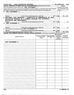|                    | Form 990-EZ (2009)<br><b>JAZZ EDUCATION NETWORK</b>                                                                                           |                                                    |                                         | 26-2880358                  | Page 2                                                             |
|--------------------|-----------------------------------------------------------------------------------------------------------------------------------------------|----------------------------------------------------|-----------------------------------------|-----------------------------|--------------------------------------------------------------------|
|                    | Part III Statement of Program Service Accomplishments (See the instructions for Part III.)                                                    |                                                    |                                         |                             | <b>Expenses</b>                                                    |
|                    | What is the organization's primary exempt purpose? SEE STATEMENT 7                                                                            |                                                    |                                         |                             | (Required for section 501(c)(3)<br>and 501(c)(4) organizations and |
|                    | Describe what was achieved in carrying out the organization's exempt purposes. In a clear and concise manner, describe                        |                                                    |                                         |                             | section 4947(a)(1) trusts, optional                                |
|                    | the services provided, the number of persons benefited, and other relevant information for each program title                                 |                                                    |                                         | for others)                 |                                                                    |
| 28                 | SEE STATEMENT 5                                                                                                                               |                                                    |                                         |                             |                                                                    |
|                    |                                                                                                                                               |                                                    |                                         |                             |                                                                    |
|                    |                                                                                                                                               |                                                    |                                         |                             |                                                                    |
|                    | ) If this amount includes foreign grants, check here<br>(Grants \$                                                                            |                                                    |                                         | 28a                         | 56,120.                                                            |
|                    | 29 NATIONAL JAZZ WORKSHOP - PROMOTION OF MEMBERSHIP IN JAZZ                                                                                   |                                                    |                                         |                             |                                                                    |
|                    | EDUCATION NETWORK AT A SUMMER PROGRAM FOR STUDENTS,                                                                                           |                                                    |                                         |                             |                                                                    |
|                    | EDUCATORS AND PERFORMERS.                                                                                                                     |                                                    |                                         |                             |                                                                    |
|                    | (Grants \$<br>) If this amount includes foreign grants, check here                                                                            |                                                    |                                         | 29a                         | 0.                                                                 |
| 30                 | SEE STATEMENT 6                                                                                                                               |                                                    |                                         |                             |                                                                    |
|                    |                                                                                                                                               |                                                    |                                         |                             |                                                                    |
|                    |                                                                                                                                               |                                                    |                                         |                             |                                                                    |
|                    |                                                                                                                                               |                                                    |                                         |                             |                                                                    |
|                    | If this amount includes foreign grants, check here<br>(Grants \$                                                                              |                                                    |                                         | 30a                         | 0.                                                                 |
|                    | 31 Other program services (attach schedule) SEE STATEMENT 8                                                                                   |                                                    |                                         |                             |                                                                    |
|                    | (Grants \$<br>) If this amount includes foreign grants, check here                                                                            |                                                    |                                         | 31a                         |                                                                    |
|                    | 32 Total program service expenses (add lines 28a through 31a)                                                                                 |                                                    |                                         | 32                          | 56,120.                                                            |
|                    | List of Officers, Directors, Trustees, and Key Employees. List each one even if not compensated (See the instructions for Part IV)<br>Part IV |                                                    |                                         |                             |                                                                    |
|                    |                                                                                                                                               |                                                    |                                         | ( <b>d</b> ) Contributions  |                                                                    |
|                    | (a) Name and address                                                                                                                          | (b) Title and average hours<br>per week devoted to | (c) Compensation<br>(If not paid, enter | to employee                 | (e) Expense<br>account and                                         |
|                    |                                                                                                                                               | position                                           | $-0-.$                                  | benefit plans &<br>deferred | other allowances                                                   |
|                    |                                                                                                                                               |                                                    |                                         | compensation                |                                                                    |
|                    |                                                                                                                                               |                                                    |                                         |                             |                                                                    |
|                    | SEE STATEMENT 4                                                                                                                               |                                                    |                                         |                             |                                                                    |
|                    |                                                                                                                                               |                                                    |                                         |                             |                                                                    |
|                    |                                                                                                                                               |                                                    |                                         |                             |                                                                    |
|                    |                                                                                                                                               |                                                    |                                         |                             |                                                                    |
|                    |                                                                                                                                               |                                                    |                                         |                             |                                                                    |
|                    |                                                                                                                                               |                                                    |                                         |                             |                                                                    |
|                    |                                                                                                                                               |                                                    |                                         |                             |                                                                    |
|                    |                                                                                                                                               |                                                    |                                         |                             |                                                                    |
|                    |                                                                                                                                               |                                                    |                                         |                             |                                                                    |
|                    |                                                                                                                                               |                                                    |                                         |                             |                                                                    |
|                    |                                                                                                                                               |                                                    |                                         |                             |                                                                    |
|                    |                                                                                                                                               |                                                    |                                         |                             |                                                                    |
|                    |                                                                                                                                               |                                                    |                                         |                             |                                                                    |
|                    |                                                                                                                                               |                                                    |                                         |                             |                                                                    |
|                    |                                                                                                                                               |                                                    |                                         |                             |                                                                    |
|                    |                                                                                                                                               |                                                    |                                         |                             |                                                                    |
|                    |                                                                                                                                               |                                                    |                                         |                             |                                                                    |
|                    |                                                                                                                                               |                                                    |                                         |                             |                                                                    |
|                    |                                                                                                                                               |                                                    |                                         |                             |                                                                    |
|                    |                                                                                                                                               |                                                    |                                         |                             |                                                                    |
|                    |                                                                                                                                               |                                                    |                                         |                             |                                                                    |
|                    |                                                                                                                                               |                                                    |                                         |                             |                                                                    |
|                    |                                                                                                                                               |                                                    |                                         |                             |                                                                    |
|                    |                                                                                                                                               |                                                    |                                         |                             |                                                                    |
|                    |                                                                                                                                               |                                                    |                                         |                             |                                                                    |
|                    |                                                                                                                                               |                                                    |                                         |                             |                                                                    |
|                    |                                                                                                                                               |                                                    |                                         |                             |                                                                    |
|                    |                                                                                                                                               |                                                    |                                         |                             |                                                                    |
|                    |                                                                                                                                               |                                                    |                                         |                             |                                                                    |
|                    |                                                                                                                                               |                                                    |                                         |                             |                                                                    |
|                    |                                                                                                                                               |                                                    |                                         |                             |                                                                    |
|                    |                                                                                                                                               |                                                    |                                         |                             |                                                                    |
|                    |                                                                                                                                               |                                                    |                                         |                             |                                                                    |
|                    |                                                                                                                                               |                                                    |                                         |                             |                                                                    |
|                    |                                                                                                                                               |                                                    |                                         |                             |                                                                    |
| 932172<br>02-08-10 |                                                                                                                                               |                                                    |                                         |                             | Form 990-EZ (2009)                                                 |
|                    |                                                                                                                                               |                                                    |                                         |                             |                                                                    |

 $\mathcal{A}=\{x_1,\ldots,x_n\}$ 

 $\alpha_{\rm{max}}=0.5$ 

Í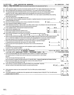|    | Form 990-EZ (2009)<br><b>JAZZ EDUCATION NETWORK</b>                                                                                       | 26-2880358                             |                 |          | Page 3       |
|----|-------------------------------------------------------------------------------------------------------------------------------------------|----------------------------------------|-----------------|----------|--------------|
|    | Part V<br>Other Information (Note the statement requirements in the instructions for Part V.)                                             |                                        |                 |          |              |
|    |                                                                                                                                           |                                        |                 | Yes No   |              |
| 33 | Did the organization engage in any activity not previously reported to the IRS? If "Yes," attach a detailed description of each activity  |                                        | 33              |          | X            |
| 34 | Were any changes made to the organizing or governing documents? If "Yes," attach a conformed copy of the changes                          |                                        | 34              |          | $\mathbf x$  |
| 35 | If the organization had income from business activities, such as those reported on lines 2, 6a, and 7a (among others), but not            |                                        |                 |          |              |
|    | reported on Form 990-T, attach a statement explaining why the organization did not report the income on Form 990-T.                       |                                        |                 |          |              |
|    | a Did the organization have unrelated business gross income of \$1,000 or more or was it subject to section 6033(e) notice, reporting,    |                                        |                 |          |              |
|    | and proxy tax requirements?                                                                                                               |                                        | 35a             |          | $\mathbf{x}$ |
|    | b If "Yes," has it filed a tax return on Form 990-T for this year?                                                                        |                                        | 35 <sub>b</sub> | N/R      |              |
| 36 | Did the organization undergo a liquidation, dissolution, termination, or significant disposition of net assets during the year? If 'Yes,' |                                        |                 |          |              |
|    | complete applicable parts of Sch. N                                                                                                       |                                        | 36              |          | X            |
|    | 37a<br>37a Enter amount of political expenditures, direct or indirect, as described in the instructions.                                  | Ο.                                     |                 |          |              |
|    | <b>b</b> Did the organization file Form 1120-POL for this year?                                                                           |                                        | 37 <sub>b</sub> |          | X            |
|    | 38a Did the organization borrow from, or make any loans to, any officer, director, trustee, or key employee or were any such loans made   |                                        |                 |          |              |
|    | in a prior year and still outstanding at the end of the period covered by this return?                                                    |                                        | 38a             |          | X            |
|    | b If "Yes," complete Schedule L, Part II and enter the total amount involved<br>38b                                                       | N/A                                    |                 |          |              |
| 39 | Section 501(c)(7) organizations. Enter:                                                                                                   |                                        |                 |          |              |
| a  | Initiation fees and capital contributions included on line 9<br>39a                                                                       | N/A                                    |                 |          |              |
| b. | 39b<br>Gross receipts, included on line 9, for public use of club facilities                                                              | N/A                                    |                 |          |              |
|    | 40a Section 501(c)(3) organizations. Enter amount of tax imposed on the organization during the year under:                               |                                        |                 |          |              |
|    | section 4911<br>$0.$ ; section 4912 $\triangleright$ __________<br>$0.$ ; section 4955                                                    | 0.                                     |                 |          |              |
|    | b Section 501(c)(3) and 501(c)(4) organizations. Did the organization engage in any section 4958 excess benefit transaction during the    |                                        |                 |          |              |
|    | year or is it aware that it engaged in an excess benefit transaction with a disqualified person in a prior year, and that the transaction |                                        |                 |          |              |
|    | has not been reported on any of the organization's prior Forms 990 or 990-EZ? If "Yes," complete Schedule L, Part I                       |                                        | 40b             |          | X            |
|    | c Section $501(c)(3)$ and $501(c)(4)$ organizations. Enter amount of tax imposed on organization managers                                 |                                        |                 |          |              |
|    | or disqualified persons during the year under sections 4912, 4955, and 4958                                                               | Ο.                                     |                 |          |              |
|    | d Section 501(c)(3) and 501(c)(4) organizations. Enter amount of tax on line 40c reimbursed by the                                        | 0.                                     |                 |          |              |
|    | organization<br>e All organizations. At any time during the tax year, was the organization a party to a prohibited tax shelter            |                                        |                 |          |              |
|    | transaction? If 'Yes,' complete Form 8886-T                                                                                               |                                        | 40e             |          | X            |
| 41 | List the states with which a copy of this return is filed. $\blacktriangleright$ $\underline{\texttt{IL}}$                                |                                        |                 |          |              |
|    | 42a The organization's books are in care of $\triangleright$ <b>ANDREW</b> SURMANI                                                        | Telephone no. $\triangleright$ $(815)$ |                 | 585-1505 |              |
|    | Located at $\blacktriangleright$ 1379 OAKRIDGE COURT,<br>THOUSAND OAKS,<br>CA                                                             | $ZIP + 4$ $\triangleright$ 91362-1923  |                 |          |              |
|    | <b>b</b> At any time during the calendar year, did the organization have an interest in or a signature or other authority                 |                                        |                 |          |              |
|    | over a financial account in a foreign country (such as a bank account, securities account, or other financial                             |                                        |                 | Yesl     | No           |
|    | account)?                                                                                                                                 |                                        | 42b             |          | $\mathbf x$  |
|    | If "Yes," enter the name of the foreign country: $\blacktriangleright$                                                                    |                                        |                 |          |              |
|    | See the instructions for exceptions and filing requirements for Form TD F 90-22 1, Report of Foreign Bank and Financial Accounts.         |                                        |                 |          |              |
|    | At any time during the calendar year, did the organization maintain an office outside of the U.S.?                                        |                                        | 42c             |          | X.           |
|    | If "Yes," enter the name of the foreign country:                                                                                          |                                        |                 |          |              |
| 43 | Section 4947(a)(1) nonexempt charitable trusts filing Form 990-EZ in lieu of Form 1041 - Check here                                       |                                        |                 |          |              |
|    | and enter the amount of tax-exempt interest received or accrued during the tax year                                                       | 43                                     | N/A             |          |              |
|    |                                                                                                                                           |                                        |                 |          |              |
|    |                                                                                                                                           |                                        |                 | Yes  No  |              |
| 44 | Did the organization maintain any donor advised funds? If "Yes," Form 990 must be completed instead of                                    |                                        |                 |          |              |
|    | Form 990-EZ                                                                                                                               |                                        | 44              |          | X            |
| 45 | Is any related organization a controlled entity of the organization within the meaning of section 512(b)(13)? If "Yes," Form 990 must be  |                                        |                 |          |              |
|    | completed instead of Form 990-EZ                                                                                                          |                                        | 45              |          | X            |

 $\mathcal{L}(\mathcal{A})$  and  $\mathcal{L}(\mathcal{A})$  .

Form 990-EZ (2009)

- -

 $\frac{1}{2} \int_{\mathbb{R}^2} \left| \frac{d\mathbf{x}}{d\mathbf{x}} \right| \, d\mathbf{x}$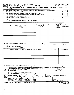|    | Form 990-EZ (2009) |        | <b>JAZZ EDUCATION NETWORK</b> | 26-2880358                                                                                                                                                                                                                                           |          | Page 4 |
|----|--------------------|--------|-------------------------------|------------------------------------------------------------------------------------------------------------------------------------------------------------------------------------------------------------------------------------------------------|----------|--------|
|    | Part VI            | and 51 |                               | Section 501(c)(3) organizations and section 4947(a)(1) nonexempt charitable trusts only. All section 501(c)(3)<br>organizations and section 4947(a)(1) nonexempt charitable trusts must answer questions 46-49b and complete the tables for lines 50 |          |        |
| 46 |                    |        |                               | Did the organization engage in direct or indirect political campaign activities on behalf of or in opposition to candidates for public                                                                                                               | 'Yes¦ No |        |

 $\bar{t}$ 

 $\bullet$ 

| office? If "Yes," complete Schedule C, Part I |  |
|-----------------------------------------------|--|
|-----------------------------------------------|--|

47 Did the organization engage in lobbying activities? If "Yes," complete Schedule C, Part II

48 Is the organization a school as described in section 170(b)(1)(A)(ii)? If "Yes," complete Schedule E

49a Did the organization make any transfers to an exempt non-charitable related organization?

b If 'Yes,' was the related organization a section 527 organization?

 $\cdot$ 

50 Complete this table for the organization's five highest compensated employees (other than officers, directors, trustees and key employees) who each received more than \$100,000 of compensation from the organization. If there is none, enter "None."

| per week devoted to<br>position | to employee<br>benefit plans &<br>deferred<br>compensation | (e) Expense<br>account and<br>other allowances                        |
|---------------------------------|------------------------------------------------------------|-----------------------------------------------------------------------|
|                                 |                                                            |                                                                       |
|                                 |                                                            |                                                                       |
|                                 |                                                            |                                                                       |
|                                 |                                                            |                                                                       |
|                                 |                                                            |                                                                       |
|                                 |                                                            |                                                                       |
|                                 |                                                            | $(d)$ Contributions<br>(b) Title and average hours   (c) Compensation |

f Total number of other employees paid over \$100,000

51 Complete this table for the organization's five highest compensated independent contractors who each received more than \$100,000 of compensation from the organization. If there IS none, enter 'None.'

NONE

|            | NUND                                                                                                                                                                                                                           |                     |                                            |
|------------|--------------------------------------------------------------------------------------------------------------------------------------------------------------------------------------------------------------------------------|---------------------|--------------------------------------------|
|            | (a) Name and address of each independent contractor paid more than \$100,000                                                                                                                                                   | (b) Type of service | (c) Compensation                           |
|            |                                                                                                                                                                                                                                |                     |                                            |
|            |                                                                                                                                                                                                                                |                     |                                            |
|            |                                                                                                                                                                                                                                |                     |                                            |
|            |                                                                                                                                                                                                                                |                     |                                            |
|            |                                                                                                                                                                                                                                |                     |                                            |
|            |                                                                                                                                                                                                                                |                     |                                            |
|            |                                                                                                                                                                                                                                |                     |                                            |
|            |                                                                                                                                                                                                                                |                     |                                            |
|            |                                                                                                                                                                                                                                |                     |                                            |
|            |                                                                                                                                                                                                                                |                     |                                            |
|            |                                                                                                                                                                                                                                |                     |                                            |
|            |                                                                                                                                                                                                                                |                     |                                            |
|            |                                                                                                                                                                                                                                |                     |                                            |
| d          | Total number of other independent contractors each receiving over \$100,000                                                                                                                                                    |                     |                                            |
|            |                                                                                                                                                                                                                                |                     |                                            |
|            | Under benalties of perjuy, I declare that I have examined this reader, including accompanying schedules and statements, and to the best of my knowledge and belief, it is true, correct and companying schedules and statement |                     |                                            |
|            |                                                                                                                                                                                                                                |                     | 6<br>ש                                     |
| Sign       |                                                                                                                                                                                                                                | Date                |                                            |
| Here       | Signature of officer                                                                                                                                                                                                           |                     |                                            |
|            | LOU FISCHER<br><b>PRESIDENT</b><br>DR.                                                                                                                                                                                         |                     |                                            |
|            | Type or print name and title                                                                                                                                                                                                   |                     |                                            |
|            |                                                                                                                                                                                                                                |                     |                                            |
| Paid       | Check if self-<br>Date<br>Preparer's signature                                                                                                                                                                                 |                     | Preparer's identifying number (See instr.) |
| Preparer's | $10^{3/10}$<br> employed ►<br>11<br>でんつ                                                                                                                                                                                        |                     |                                            |
| Use Only   | MCGLADREY,<br>INC.<br><b>RSM</b>                                                                                                                                                                                               | EIN D               |                                            |
|            | Firm's name (or yours                                                                                                                                                                                                          |                     |                                            |
|            | LAKE COOK ROAD, STE 300<br>570<br>if self-employed).                                                                                                                                                                           | Phone               |                                            |
|            | address, and ZIP + 4<br>60015<br><b>ILLINOIS</b><br>DEERFIELD,                                                                                                                                                                 | no.                 | $847 - 940 - 1300$                         |
|            | May the IRS discuss this return with the preparer shown above? See instructions                                                                                                                                                |                     | X<br><b>No</b><br>Yes                      |
|            |                                                                                                                                                                                                                                |                     |                                            |

Form 990-EZ (2009)

 $-$ 

 $\mathbf x$ 

 $\mathbf x$ 

49**b** 

49a

47

48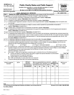| <b>SCHEDULE A</b><br>(Form 990 or 990-EZ) |                                               | <b>Public Charity Status and Public Support</b>                                                                                                                                                                                                 |            |                                      |     |                                                 |     |                                                       | OMB No 1545-0047                      |
|-------------------------------------------|-----------------------------------------------|-------------------------------------------------------------------------------------------------------------------------------------------------------------------------------------------------------------------------------------------------|------------|--------------------------------------|-----|-------------------------------------------------|-----|-------------------------------------------------------|---------------------------------------|
|                                           |                                               | Complete if the organization is a section 501(c)(3) organization or a section                                                                                                                                                                   |            |                                      |     |                                                 |     |                                                       |                                       |
| Department of the Treasury                |                                               | 4947(a)(1) nonexempt charitable trust.                                                                                                                                                                                                          |            |                                      |     |                                                 |     |                                                       | Open to Public                        |
| Internal Revenue Service                  |                                               | Attach to Form 990 or Form 990-EZ. See separate instructions.                                                                                                                                                                                   |            |                                      |     |                                                 |     |                                                       | Inspection                            |
| Name of the organization                  |                                               |                                                                                                                                                                                                                                                 |            |                                      |     |                                                 |     |                                                       | <b>Employer identification number</b> |
|                                           |                                               | <b>JAZZ EDUCATION NETWORK</b>                                                                                                                                                                                                                   |            |                                      |     |                                                 |     |                                                       | 26-2880358                            |
| Part I                                    |                                               | Reason for Public Charity Status (All organizations must complete this part ) See instructions                                                                                                                                                  |            |                                      |     |                                                 |     |                                                       |                                       |
|                                           |                                               | The organization is not a private foundation because it is. (For lines 1 through 11, check only one box.)                                                                                                                                       |            |                                      |     |                                                 |     |                                                       |                                       |
| 1                                         |                                               | A church, convention of churches, or association of churches described in section 170(b)(1)(A)(i).                                                                                                                                              |            |                                      |     |                                                 |     |                                                       |                                       |
| 2                                         |                                               | A school described in section 170(b)(1)(A)(ii). (Attach Schedule E)                                                                                                                                                                             |            |                                      |     |                                                 |     |                                                       |                                       |
| з                                         |                                               | A hospital or a cooperative hospital service organization described in section 170(b)(1)(A)(iii).<br>A medical research organization operated in conjunction with a hospital described in section 170(b)(1)(A)(iii). Enter the hospital's name, |            |                                      |     |                                                 |     |                                                       |                                       |
| city, and state <sup>.</sup>              |                                               |                                                                                                                                                                                                                                                 |            |                                      |     |                                                 |     |                                                       |                                       |
| 5                                         |                                               | An organization operated for the benefit of a college or university owned or operated by a governmental unit described in                                                                                                                       |            |                                      |     |                                                 |     |                                                       |                                       |
|                                           | section 170(b)(1)(A)(iv). (Complete Part II)  |                                                                                                                                                                                                                                                 |            |                                      |     |                                                 |     |                                                       |                                       |
| 6                                         |                                               | A federal, state, or local government or governmental unit described in section 170(b)(1)(A)(v).                                                                                                                                                |            |                                      |     |                                                 |     |                                                       |                                       |
| $\lfloor x \rfloor$<br>7                  |                                               | An organization that normally receives a substantial part of its support from a governmental unit or from the general public described in                                                                                                       |            |                                      |     |                                                 |     |                                                       |                                       |
|                                           | section 170(b)(1)(A)(vi). (Complete Part II.) |                                                                                                                                                                                                                                                 |            |                                      |     |                                                 |     |                                                       |                                       |
| 8                                         |                                               | A community trust described in section 170(b)(1)(A)(vi). (Complete Part II)                                                                                                                                                                     |            |                                      |     |                                                 |     |                                                       |                                       |
| 9                                         |                                               | An organization that normally receives: (1) more than 33 1/3% of its support from contributions, membership fees, and gross receipts from                                                                                                       |            |                                      |     |                                                 |     |                                                       |                                       |
|                                           |                                               | activities related to its exempt functions - subject to certain exceptions, and (2) no more than 33 1/3% of its support from gross investment                                                                                                   |            |                                      |     |                                                 |     |                                                       |                                       |
|                                           |                                               | income and unrelated business taxable income (less section 511 tax) from businesses acquired by the organization after June 30, 1975                                                                                                            |            |                                      |     |                                                 |     |                                                       |                                       |
|                                           | See section 509(a)(2). (Complete Part III)    |                                                                                                                                                                                                                                                 |            |                                      |     |                                                 |     |                                                       |                                       |
| 10                                        |                                               | An organization organized and operated exclusively to test for public safety. See section 509(a)(4).                                                                                                                                            |            |                                      |     |                                                 |     |                                                       |                                       |
| 11                                        |                                               | An organization organized and operated exclusively for the benefit of, to perform the functions of, or to carry out the purposes of one or                                                                                                      |            |                                      |     |                                                 |     |                                                       |                                       |
|                                           |                                               | more publicly supported organizations described in section 509(a)(1) or section 509(a)(2) See section 509(a)(3). Check the box that                                                                                                             |            |                                      |     |                                                 |     |                                                       |                                       |
|                                           |                                               | describes the type of supporting organization and complete lines 11e through 11h.                                                                                                                                                               |            |                                      |     |                                                 |     |                                                       |                                       |
| _l Type I<br>a l                          | bl                                            | J Type II                                                                                                                                                                                                                                       | c L        | ∫ Type III - Functionally integrated |     |                                                 |     |                                                       | Type III - Other                      |
| е                                         |                                               | By checking this box, I certify that the organization is not controlled directly or indirectly by one or more disqualified persons other than                                                                                                   |            |                                      |     |                                                 |     |                                                       |                                       |
|                                           |                                               | foundation managers and other than one or more publicly supported organizations described in section 509(a)(1) or section 509(a)(2).                                                                                                            |            |                                      |     |                                                 |     |                                                       |                                       |
| f                                         |                                               | If the organization received a written determination from the IRS that it is a Type I, Type II, or Type III                                                                                                                                     |            |                                      |     |                                                 |     |                                                       |                                       |
|                                           | supporting organization, check this box       | Since August 17, 2006, has the organization accepted any gift or contribution from any of the following persons?                                                                                                                                |            |                                      |     |                                                 |     |                                                       |                                       |
| g                                         |                                               | A person who directly or indirectly controls, either alone or together with persons described in (ii) and (iii) below,                                                                                                                          |            |                                      |     |                                                 |     |                                                       | No.<br>Yes                            |
| $\bf(i)$                                  |                                               | the governing body of the supported organization?                                                                                                                                                                                               |            |                                      |     |                                                 |     |                                                       | 11g(i)                                |
| (ii)                                      |                                               | A family member of a person described in (i) above?                                                                                                                                                                                             |            |                                      |     |                                                 |     |                                                       | 11g(ii)                               |
|                                           |                                               | (iii) A 35% controlled entity of a person described in (i) or (ii) above?                                                                                                                                                                       |            |                                      |     |                                                 |     |                                                       | 11g(iii)                              |
| h                                         |                                               | Provide the following information about the supported organization(s).                                                                                                                                                                          |            |                                      |     |                                                 |     |                                                       |                                       |
|                                           |                                               |                                                                                                                                                                                                                                                 |            |                                      |     |                                                 |     |                                                       |                                       |
| (i) Name of supported                     | (ii) EIN                                      | (iii) Type of                                                                                                                                                                                                                                   |            |                                      |     | (iv) is the organization (v) Did you notify the |     | (vi) Is the                                           | (vii) Amount of                       |
| organization                              |                                               | organization<br>(described on lines 1-9                                                                                                                                                                                                         |            | in col. (i) listed in your           |     | organization in col.                            |     | organization in col.<br>(i) organized in the<br>U.S.? | support                               |
|                                           |                                               | above or IRC section                                                                                                                                                                                                                            |            | governing document?                  |     | (i) of your support?                            |     |                                                       |                                       |
|                                           |                                               | (see instructions))                                                                                                                                                                                                                             | <b>Yes</b> | No                                   | Yes | No                                              | Yes | No                                                    |                                       |
|                                           |                                               |                                                                                                                                                                                                                                                 |            |                                      |     |                                                 |     |                                                       |                                       |
|                                           |                                               |                                                                                                                                                                                                                                                 |            |                                      |     |                                                 |     |                                                       |                                       |
|                                           |                                               |                                                                                                                                                                                                                                                 |            |                                      |     |                                                 |     |                                                       |                                       |
|                                           |                                               |                                                                                                                                                                                                                                                 |            |                                      |     |                                                 |     |                                                       |                                       |
|                                           |                                               |                                                                                                                                                                                                                                                 |            |                                      |     |                                                 |     |                                                       |                                       |
|                                           |                                               |                                                                                                                                                                                                                                                 |            |                                      |     |                                                 |     |                                                       |                                       |
|                                           |                                               |                                                                                                                                                                                                                                                 |            |                                      |     |                                                 |     |                                                       |                                       |
|                                           |                                               |                                                                                                                                                                                                                                                 |            |                                      |     |                                                 |     |                                                       |                                       |
|                                           |                                               |                                                                                                                                                                                                                                                 |            |                                      |     |                                                 |     |                                                       |                                       |

LHA For Privacy Act and Paperwork Reduction Act Notice, see the Instructions for Schedule A (Form 990 or 990-EZ) 2009 Form 990 or 990-EZ.

932021 O2-0B- 10

**Total**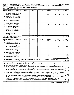|  | Schedule A (Form 990 or 990-EZ) 2009 JAZZ EDUCATION NETWORK |  |  |  |  |
|--|-------------------------------------------------------------|--|--|--|--|
|  |                                                             |  |  |  |  |

 $\mathcal{A}^{\mathcal{A}}$  and  $\mathcal{A}^{\mathcal{A}}$  . As

 $\alpha_{\rm{max}}=1$ 

| Schedule A (Form 990 or 990-EZ) 2009 JAZZ EDUCATION NETWORK                                            | $26 - 2880358$ Page 2 |  |
|--------------------------------------------------------------------------------------------------------|-----------------------|--|
| Part II Support Schedule for Organizations Described in Sections 170(b)(1)(A)(iv) and 170(b)(1)(A)(vi) |                       |  |
| (Complete only if you checked the box on line 5, 7, or 8 of Part I)                                    |                       |  |

## Section A. Public Support

| (a) 2005<br>(b) 2006<br>$(c)$ 2007<br>$(d)$ 2008<br>(e) 2009<br>Calendar year (or fiscal year beginning in)<br>1 Gifts, grants, contributions, and<br>membership fees received (Do not | (f) Total<br>125,325.                    |
|----------------------------------------------------------------------------------------------------------------------------------------------------------------------------------------|------------------------------------------|
|                                                                                                                                                                                        |                                          |
|                                                                                                                                                                                        |                                          |
|                                                                                                                                                                                        |                                          |
| 50,785.<br>74,540.<br>include any "unusual grants.")                                                                                                                                   |                                          |
| 2 Tax revenues levied for the organ-                                                                                                                                                   |                                          |
| ization's benefit and either paid to                                                                                                                                                   |                                          |
| or expended on its behalf                                                                                                                                                              |                                          |
| 3 The value of services or facilities                                                                                                                                                  |                                          |
| furnished by a governmental unit to                                                                                                                                                    |                                          |
| the organization without charge                                                                                                                                                        |                                          |
| 74,540.<br>50,785.<br>4 Total. Add lines 1 through 3                                                                                                                                   | 125,325.                                 |
| The portion of total contributions<br>5.                                                                                                                                               |                                          |
| by each person (other than a                                                                                                                                                           |                                          |
| governmental unit or publicly                                                                                                                                                          |                                          |
| supported organization) included                                                                                                                                                       |                                          |
| on line 1 that exceeds 2% of the                                                                                                                                                       |                                          |
| amount shown on line 11,                                                                                                                                                               |                                          |
| column (f)                                                                                                                                                                             |                                          |
| 6 Public support. Subtract line 5 from line 4                                                                                                                                          | 125,325.                                 |
| <b>Section B. Total Support</b>                                                                                                                                                        |                                          |
| (b) 2006<br>$(d)$ 2008<br>$(e)$ 2009<br>Calendar year (or fiscal year beginning in)<br>(a) 2005<br>$(c)$ 2007                                                                          | (f) Total                                |
| 50,785.<br>74,540.<br>7 Amounts from line 4                                                                                                                                            | 125,325.                                 |
| 8 Gross income from interest.                                                                                                                                                          |                                          |
| dividends, payments received on                                                                                                                                                        |                                          |
| securities loans, rents, royalties                                                                                                                                                     |                                          |
| 42.<br>142.<br>and income from similar sources                                                                                                                                         | 184.                                     |
| 9 Net income from unrelated business                                                                                                                                                   |                                          |
| activities, whether or not the                                                                                                                                                         |                                          |
| business is regularly carried on                                                                                                                                                       |                                          |
| 10 Other income Do not include gain                                                                                                                                                    |                                          |
|                                                                                                                                                                                        |                                          |
| or loss from the sale of capital<br>2,025                                                                                                                                              | 2,025.                                   |
| assets (Explain in Part IV)                                                                                                                                                            | 127,534.                                 |
| 11 Total support. Add lines 7 through 10                                                                                                                                               | 91, 249.                                 |
| 12<br>12 Gross receipts from related activities, etc (see instructions)                                                                                                                |                                          |
| 13 First five years. If the Form 990 is for the organization's first, second, third, fourth, or fifth tax year as a section 501(c)(3)                                                  | $\blacktriangleright$ $\boxed{\text{X}}$ |
| organization, check this box and stop here<br>Section C. Computation of Public Support Percentage                                                                                      |                                          |
| 14 Public support percentage for 2009 (line 6, column (f) divided by line 11, column (f))                                                                                              |                                          |
| 14<br>15 Public support percentage from 2008 Schedule A, Part II, line 14<br>15                                                                                                        | <u>%</u><br>%                            |
|                                                                                                                                                                                        |                                          |
| 16a 33 1/3% support test - 2009. If the organization did not check the box on line 13, and line 14 is 33 1/3% or more, check this box and                                              |                                          |
| stop here. The organization qualifies as a publicly supported organization                                                                                                             |                                          |
| b 33 1/3% support test - 2008. If the organization did not check a box on line 13 or 16a, and line 15 is 33 1/3% or more, check this box                                               |                                          |
| and stop here. The organization qualifies as a publicly supported organization                                                                                                         |                                          |
| 17a 10% -facts-and-circumstances test - 2009. If the organization did not check a box on line 13, 16a, or 16b, and line 14 is 10% or more,                                             |                                          |
| and if the organization meets the "facts-and-circumstances" test, check this box and stop here. Explain in Part IV how the organization                                                |                                          |
| meets the "facts and circumstances" test The organization qualifies as a publicly supported organization                                                                               |                                          |
| b 10% -facts-and-circumstances test - 2008. If the organization did not check a box on line 13, 16a, 16b, or 17a, and line 15 is 10% or                                                |                                          |
| more, and if the organization meets the "facts-and-circumstances" test, check this box and stop here. Explain in Part IV how the                                                       |                                          |
| organization meets the "facts-and-circumstances" test The organization qualifies as a publicly supported organization                                                                  |                                          |
| 18 Private foundation. If the organization did not check a box on line 13, 16a, 16b, 17a, or 17b, check this box and see instructions                                                  |                                          |

Schedule A (Form 990 or 990-E2) 2009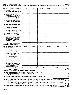|                 | Schedule A (Form 990 or 990-EZ) 2009<br>Part III   Support Schedule for Organizations Described in Section 509(a)(2) (Complete only if you checked the box on line 9 of Part I.)       |          |            |            |            |          | Page 3    |
|-----------------|----------------------------------------------------------------------------------------------------------------------------------------------------------------------------------------|----------|------------|------------|------------|----------|-----------|
|                 | <b>Section A. Public Support</b>                                                                                                                                                       |          |            |            |            |          |           |
|                 |                                                                                                                                                                                        |          |            |            |            |          |           |
|                 | Calendar year (or fiscal year beginning in)                                                                                                                                            | (a) 2005 | $(b)$ 2006 | (c) 2007   | $(d)$ 2008 | (e) 2009 | (f) Total |
|                 | 1 Gifts, grants, contributions, and<br>membership fees received (Do not                                                                                                                |          |            |            |            |          |           |
|                 | include any "unusual grants.")                                                                                                                                                         |          |            |            |            |          |           |
| 2               | Gross receipts from admissions,<br>merchandise sold or services per-<br>formed, or facilities furnished in<br>any activity that is related to the<br>organization's tax-exempt purpose |          |            |            |            |          |           |
| з               | Gross receipts from activities that                                                                                                                                                    |          |            |            |            |          |           |
|                 | are not an unrelated trade or bus-                                                                                                                                                     |          |            |            |            |          |           |
|                 | iness under section 513                                                                                                                                                                |          |            |            |            |          |           |
| 4               | Tax revenues levied for the organ-                                                                                                                                                     |          |            |            |            |          |           |
|                 | ization's benefit and either paid to                                                                                                                                                   |          |            |            |            |          |           |
|                 | or expended on its behalf                                                                                                                                                              |          |            |            |            |          |           |
| 5               | The value of services or facilities                                                                                                                                                    |          |            |            |            |          |           |
|                 | furnished by a governmental unit to                                                                                                                                                    |          |            |            |            |          |           |
|                 | the organization without charge                                                                                                                                                        |          |            |            |            |          |           |
| 6               | Total, Add lines 1 through 5                                                                                                                                                           |          |            |            |            |          |           |
|                 | 7a Amounts included on lines 1, 2, and                                                                                                                                                 |          |            |            |            |          |           |
|                 | 3 received from disqualified persons                                                                                                                                                   |          |            |            |            |          |           |
|                 | <b>b</b> Amounts included on lines 2 and 3 received<br>from other than disqualified persons that<br>exceed the greater of \$5,000 or 1% of the<br>amount on line 13 for the year       |          |            |            |            |          |           |
|                 | c Add lines 7a and 7b                                                                                                                                                                  |          |            |            |            |          |           |
|                 | <b>8</b> Public support (Subtract line 7c from line 6)                                                                                                                                 |          |            |            |            |          |           |
|                 | <b>Section B. Total Support</b>                                                                                                                                                        |          |            |            |            |          |           |
|                 | Calendar year (or fiscal year beginning in)                                                                                                                                            | (a) 2005 | (b) 2006   | $(c)$ 2007 | $(d)$ 2008 | (e) 2009 | (f) Total |
|                 | 9 Amounts from line 6                                                                                                                                                                  |          |            |            |            |          |           |
|                 | 10a Gross income from interest,<br>dividends, payments received on<br>securities loans, rents, royalties<br>and income from similar sources                                            |          |            |            |            |          |           |
|                 | <b>b</b> Unrelated business taxable income                                                                                                                                             |          |            |            |            |          |           |
|                 | (less section 511 taxes) from businesses                                                                                                                                               |          |            |            |            |          |           |
|                 | acquired after June 30, 1975                                                                                                                                                           |          |            |            |            |          |           |
|                 | c Add lines 10a and 10b<br>11 Net income from unrelated business<br>activities not included in line 10b.<br>whether or not the business is<br>regularly carried on                     |          |            |            |            |          |           |
|                 | 12 Other income Do not include gain<br>or loss from the sale of capital<br>assets (Explain in Part IV.)                                                                                |          |            |            |            |          |           |
|                 | 13 Total support (Add lines 9, 10c, 11, and 12)                                                                                                                                        |          |            |            |            |          |           |
|                 | 14 First five years. If the Form 990 is for the organization's first, second, third, fourth, or fifth tax year as a section 501(c)(3) organization,                                    |          |            |            |            |          |           |
|                 | check this box and stop here                                                                                                                                                           |          |            |            |            |          |           |
|                 | <b>Section C. Computation of Public Support Percentage</b>                                                                                                                             |          |            |            |            |          |           |
| 15              | Public support percentage for 2009 (line 8, column (f) divided by line 13, column (f))                                                                                                 |          |            |            |            | 15       | %         |
| 16              | Public support percentage from 2008 Schedule A, Part III, line 15                                                                                                                      |          |            |            |            | 16       | $\%$      |
|                 |                                                                                                                                                                                        |          |            |            |            |          |           |
|                 | Section D. Computation of Investment Income Percentage                                                                                                                                 |          |            |            |            |          |           |
| 17 <sup>7</sup> | Investment income percentage for 2009 (line 10c, column (f) divided by line 13, column (f))                                                                                            |          |            |            |            | 17       | $\%$      |
| 18              | Investment income percentage from 2008 Schedule A, Part III, line 17                                                                                                                   |          |            |            |            | 18       | %         |
|                 | 19a 33 1/3% support tests - 2009. If the organization did not check the box on line 14, and line 15 is more than 33 1/3%, and line 17 is not                                           |          |            |            |            |          |           |
|                 | more than 33 1/3%, check this box and stop here. The organization qualifies as a publicly supported organization                                                                       |          |            |            |            |          |           |
|                 | b 33 1/3% support tests - 2008. If the organization did not check a box on line 14 or line 19a, and line 16 is more than 33 1/3%, and                                                  |          |            |            |            |          |           |
|                 | line 18 is not more than 33 1/3%, check this box and stop here. The organization qualifies as a publicly supported organization                                                        |          |            |            |            |          |           |

 $\alpha$  and  $\alpha$ 

Schedule A (Form 990 or 990-EZ) 2009

\_\_\_

 $\mathcal{A}^{\text{max}}_{\text{max}}$ 

 $- - -$ 

— —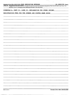| $\mathbf{r} = \mathbf{r} \times \mathbf{r}$ , where $\mathbf{r}$<br>$\bullet$                                                            |
|------------------------------------------------------------------------------------------------------------------------------------------|
| Schedule A (Form 990 or 990-EZ) 2009 JAZZ EDUCATION NETWORK<br>$26 - 2880358$ Page 4                                                     |
| Part IV Supplemental Information. Complete this part to provide the explanations required by Part II, line 10; Part II, line 17a or 17b, |
| and Part III, line 12 Provide any other additional information See instructions.<br>$\bullet$                                            |
| SCHEDULE A, PART II, LINE 10, EXPLANATION FOR OTHER INCOME:                                                                              |
|                                                                                                                                          |
| REGISTRATION FEES FOR THE SUMMER AND WINTER NAMM SHOWS                                                                                   |
|                                                                                                                                          |
|                                                                                                                                          |
|                                                                                                                                          |
|                                                                                                                                          |
|                                                                                                                                          |
|                                                                                                                                          |
|                                                                                                                                          |
|                                                                                                                                          |
|                                                                                                                                          |
|                                                                                                                                          |
|                                                                                                                                          |
|                                                                                                                                          |
|                                                                                                                                          |
|                                                                                                                                          |
|                                                                                                                                          |
|                                                                                                                                          |
|                                                                                                                                          |
|                                                                                                                                          |
|                                                                                                                                          |
|                                                                                                                                          |
|                                                                                                                                          |
|                                                                                                                                          |
|                                                                                                                                          |
|                                                                                                                                          |
|                                                                                                                                          |
|                                                                                                                                          |
|                                                                                                                                          |
|                                                                                                                                          |
|                                                                                                                                          |
|                                                                                                                                          |
|                                                                                                                                          |
|                                                                                                                                          |
|                                                                                                                                          |
|                                                                                                                                          |
|                                                                                                                                          |
|                                                                                                                                          |
|                                                                                                                                          |
|                                                                                                                                          |

- -

 $\sim$ 

 $\overline{\phantom{a}}$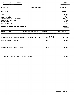| <b>JAZZ EDUCATION NETWORK</b>  | 26-2880358                  |                       |  |  |
|--------------------------------|-----------------------------|-----------------------|--|--|
| FORM $990 - EZ$                | OTHER EXPENSES              | <b>STATEMENT</b><br>1 |  |  |
| DESCRIPTION                    |                             | <b>AMOUNT</b>         |  |  |
| <b>WEBSITE</b>                 |                             | 18,745.               |  |  |
| <b>BANK CHARGES</b>            |                             | 4,400.                |  |  |
| MEETING EXPENSE                |                             | 949.                  |  |  |
| <b>CONFERENCE 2010 EXPENSE</b> |                             | 56, 120.              |  |  |
| MARKETING EXPENSE              |                             | 3,656.                |  |  |
| <b>INSURANCE</b>               |                             | 1,444.                |  |  |
| OFFICE SUPPLIES                |                             | 247.                  |  |  |
| TOTAL TO FORM 990-EZ, LINE 16  |                             | 85,561.               |  |  |
|                                |                             |                       |  |  |
| FORM $990 - EZ$                | CASH GRANTS AND ALLOCATIONS | 2<br><b>STATEMENT</b> |  |  |

| CLASS OF ACTIVITY/GRANTEE'S NAME AND ADDRESS | <b>GRANTEE'S</b><br>RELATIONSHIP | <b>AMOUNT</b> |
|----------------------------------------------|----------------------------------|---------------|
| DAVID BAKER SCHOLARSHIP                      | <b>NONE</b>                      | 3,000.        |
| WOMEN IN JAZZ SCHOLARSHIP                    | <b>NONE</b>                      | 1,000.        |
| TOTAL INCLUDED ON FORM 990-EZ, LINE 10       |                                  | 4,000.        |

 $-$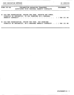$\mathcal{A}^{\text{max}}_{\text{max}}$  and  $\mathcal{A}^{\text{max}}_{\text{max}}$ 

\_\_\_\_\_

| $FORM 990 - EZ$ |  | INFORMATION REGARDING TRANSFERS<br>ASSOCIATED WITH PERSONAL BENEFIT CONTRACTS                                         | STATEMENT |  |  |  | - 3 |
|-----------------|--|-----------------------------------------------------------------------------------------------------------------------|-----------|--|--|--|-----|
|                 |  | A) DID THE ORGANIZATION, DURING THE YEAR, RECEIVE ANY FUNDS,<br>DIRECTLY OR INDIRECTLY, TO PAY PREMIUMS ON A PERSONAL |           |  |  |  |     |

| DIRECTLY OR INDIRECTLY, TO PAY PREMIUMS ON A PERSONAL |  |  |  |  |  |  |  |  |  |  |  |  |  |
|-------------------------------------------------------|--|--|--|--|--|--|--|--|--|--|--|--|--|
|                                                       |  |  |  |  |  |  |  |  |  |  |  |  |  |
|                                                       |  |  |  |  |  |  |  |  |  |  |  |  |  |
|                                                       |  |  |  |  |  |  |  |  |  |  |  |  |  |

B) DID THE ORGANIZATION, DURING THE YEAR, PAY PREMIUMS, DIRECTLY OR INDIRECTLY, ON A PERSONAL BENEFIT CONTRACT? . . [ ] YES [X] NO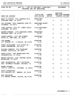| <b>JAZZ EDUCATION NETWORK</b> |  |
|-------------------------------|--|
|-------------------------------|--|

 $\mathcal{A}^{\text{max}}_{\text{max}}$ 

| FORM 990-EZ. PART IV - LIST OF OFFICERS, DIRECTORS, STATEMENT 4                 | TRUSTEES AND KEY EMPLOYEES                                               |    |                              |    |  |
|---------------------------------------------------------------------------------|--------------------------------------------------------------------------|----|------------------------------|----|--|
| NAME AND ADDRESS                                                                | TITLE AND COMPEN- BEN PLAN EXPENSE<br>AVRG HRS/WK SATION CONTRIB ACCOUNT |    | <b>EMPLOYEE</b>              |    |  |
| MARY JO PAPICH, 1601 OAKWOOD #101, PRESIDENT<br>HIGHLAND PARK, IL 60035         | 20.00                                                                    |    | 0.00                         | 0. |  |
| LOU FISCHER, 5940 CARNEGIE COVE CT., PRESIDENT-ELECT<br>COLUMBUS, OH 43213      | 20.00                                                                    |    | 0. 0.                        | 0. |  |
| JOHN CLAYTON, 2876 ST. JAMES PLACE, VICE PRESIDENT<br>ALTADENA, CA 91001        | 3.00                                                                     | 0. | 0.                           | 0. |  |
| ANDREW SURMANI, 1379 OAKRIDGE COURT, TREASURER<br>THOUSAND OAKS, CA 91362       | 20.00                                                                    | 0. | 0.                           | 0. |  |
| JACKIE HARRIS, 1270 5TH AVENUE, SECRETARY<br>SUITE 8L, NEW YORK, NY 10029       | 4.00                                                                     | 0. | 0.                           | 0. |  |
| <b>JIM WIDNER</b><br>127 BOUQUET CT., O'FALLON, MO 63368                        | <b>DIRECTOR</b><br>4.00                                                  | 0. | 0.                           | 0. |  |
| STEVE CRISSINGER, 5322 RIFLE DR., DIRECTOR<br>CANAL WINCHESTER, OH 43110        | 20.00                                                                    | 0. | 0.                           | 0. |  |
| WILLARD JENKINS, 2303 ROCKLAND DIRECTOR<br>AVENUE, ROCKVILLE, MD 20851          | 1.00                                                                     |    | 0.<br>$0.$ The set of $\sim$ | 0. |  |
| BRUCE SILVA, 3504 WATERCHASE WAY, DIRECTOR<br>JACKSONVILLE, FL 32224            | 3.00                                                                     |    | 0.<br>0.                     | 0. |  |
| MELODY BALICKI, 2447 CONCORD DRIVE, DIRECTOR<br>WOODRIDGE, IL 60517             | 0.00                                                                     | 0. | 0.                           | 0. |  |
| PAUL CHIARAVALLE, 600 S MICHIGAN DIRECTOR<br>AVE, COLUMBIA COLLEGE, CHICAGO, IL | 3.00                                                                     | 0. | 0.                           | 0. |  |
| <b>RUBEN ALVAREZ</b><br>7026 W. 43RD ST., STICKNEY, IL 60402                    | <b>DIRECTOR</b><br>3.00                                                  | 0. | 0.                           | 0. |  |
| PARIS RUTHERFORD<br>2913 BRISTOL ST., DENTON, TX 76209                          | <b>DIRECTOR</b><br>3.00                                                  | 0. | $\mathbf{0}$ .               | 0. |  |
| <b>BOB SINICROPE</b><br>170 CENTRE STREET, MILTON, MA 02186                     | <b>DIRECTOR</b><br>3.00                                                  | 0. | 0.                           | 0. |  |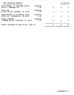| <b>JAZZ EDUCATION NETWORK</b>                                         |                         |    |    | 26-2880358     |
|-----------------------------------------------------------------------|-------------------------|----|----|----------------|
| RICK KESSELL, 21 HIGHLAND CIRCLE,<br>SUITE 1, NEEDHAM, MA             | <b>DIRECTOR</b><br>3.00 | 0. | 0. | 0.             |
| JOSE DIAZ<br>PO BOX 680364, HOUSTON, TX 77268                         | <b>DIRECTOR</b><br>3.00 | 0. | 0. | 0.             |
| JOHN WITTMAN, 39 W JACKSON PLACE,<br>SUITE 150, INDIANAPLIS, IN 46225 | <b>DIRECTOR</b><br>1.50 | 0. | 0. | 0.             |
| TERELL STAFFORD<br>7 BRAMER DRIVE, PRINCETON, NJ 08540                | <b>DIRECTOR</b><br>1.50 | 0. | 0. | $\mathbf{0}$ . |
| TOTALS INCLUDED ON FORM 990-EZ, PART IV                               |                         | 0. | 0. | 0.             |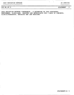$\bullet$ 

 $\sim$ 

JAZZ EDUCATION NETWORK CONFERENCE - A GATHERING OF JAZZ EDUCATORS, PERFORMERS, CLINICIANS, INDUSTRY AND ENTHUSIASTS FOR <sup>3</sup> DAYS OF CONCERTS, CLINICS/WORKSHOPS, EXHIBITS AND JAM SESSIONS.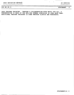JAZZ EDUCATION NETWORK 36-2880358

| 990-EZ .PG | $\mathbf{2} \cdot$ |
|------------|--------------------|
|------------|--------------------|

990-EZ PG 2- STATEMENT 6

JAZZ TEACHER TRAINING - THROUGH A COLLABORATION WITH MUSIC FOR ALL, A PRESENTATION IS MADE AT THE MFA/JEN SUMMER SYMPOSIUM IN JUNE EACH YEAR. ADDITIONAL TEACHER TRAINING IS DONE THROUGH CLINICS AND WORKSHOPS.

 $\qquad \qquad - \qquad - \qquad -$ 

 $\mathcal{A}^{\text{max}}$  and  $\mathcal{A}^{\text{max}}$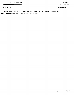i.

990-EZ PG 2.

TO SERVE THE JAZZ ARTS COMMUNITY BY ADVANCING EDUCATION, PROMOTING PERFORMANCES AND DEVELOPING NEW AUDIENCES.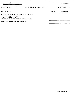| <b>JAZZ EDUCATION NETWORK</b>                                                                                               |                        | 26-2880358    |                  |    |
|-----------------------------------------------------------------------------------------------------------------------------|------------------------|---------------|------------------|----|
| FORM $99.0 - EZ$                                                                                                            | OTHER PROGRAM SERVICES |               | <b>STATEMENT</b> | -8 |
| DESCRIPTION                                                                                                                 |                        | <b>GRANTS</b> | <b>EXPENSES</b>  |    |
| STUDENT COMPOSITION SHOWCASE PROJECT<br>THE JENEROSITY PROJECT<br>JOHN LAPORTA AWARD<br>CONFERENCE COVER DESIGN COMPETITION |                        |               |                  |    |
| TOTAL TO FORM 990-EZ, LINE 31                                                                                               |                        |               |                  |    |

 $-$ 

\_\_

 $-$ 

 $\sim 10$